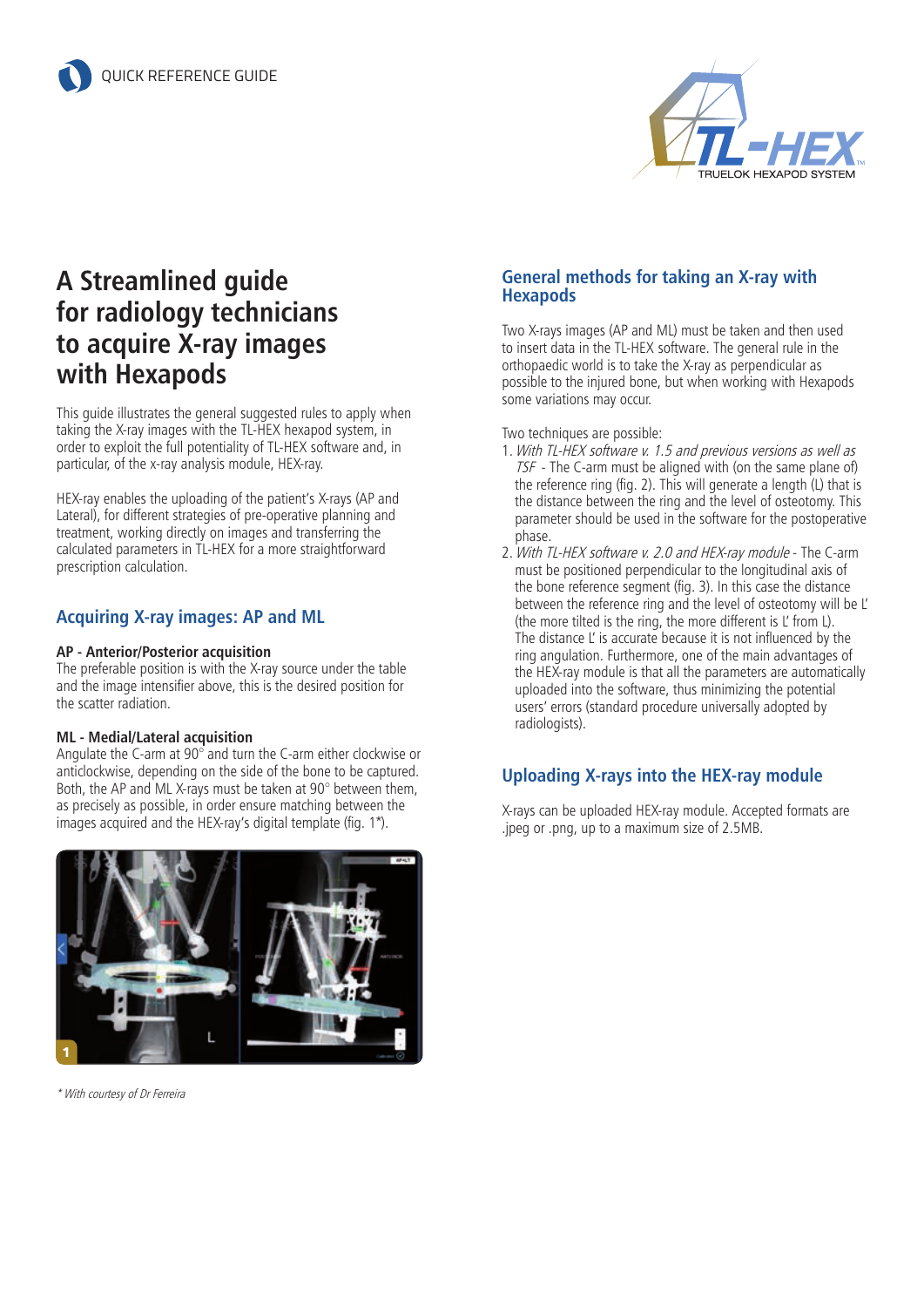

# **A Streamlined guide for radiology technicians to acquire X-ray images with Hexapods**

This guide illustrates the general suggested rules to apply when taking the X-ray images with the TL-HEX hexapod system, in order to exploit the full potentiality of TL-HEX software and, in particular, of the x-ray analysis module, HEX-ray.

HEX-ray enables the uploading of the patient's X-rays (AP and Lateral), for different strategies of pre-operative planning and treatment, working directly on images and transferring the calculated parameters in TL-HEX for a more straightforward prescription calculation.

## **Acquiring X-ray images: AP and ML**

#### **AP - Anterior/Posterior acquisition**

The preferable position is with the X-ray source under the table and the image intensifier above, this is the desired position for the scatter radiation.

#### **ML - Medial/Lateral acquisition**

Angulate the C-arm at 90° and turn the C-arm either clockwise or anticlockwise, depending on the side of the bone to be captured. Both, the AP and ML X-rays must be taken at 90° between them, as precisely as possible, in order ensure matching between the images acquired and the HEX-ray's digital template (fig. 1\*).



\* With courtesy of Dr Ferreira

### **General methods for taking an X-ray with Hexapods**

Two X-rays images (AP and ML) must be taken and then used to insert data in the TL-HEX software. The general rule in the orthopaedic world is to take the X-ray as perpendicular as possible to the injured bone, but when working with Hexapods some variations may occur.

Two techniques are possible:

- 1.With TL-HEX software v. 1.5 and previous versions as well as TSF - The C-arm must be aligned with (on the same plane of) the reference ring (fig. 2). This will generate a length (L) that is the distance between the ring and the level of osteotomy. This parameter should be used in the software for the postoperative phase.
- 2.With TL-HEX software v. 2.0 and HEX-ray module The C-arm must be positioned perpendicular to the longitudinal axis of the bone reference segment (fig. 3). In this case the distance between the reference ring and the level of osteotomy will be L' (the more tilted is the ring, the more different is L' from L). The distance L' is accurate because it is not influenced by the ring angulation. Furthermore, one of the main advantages of the HEX-ray module is that all the parameters are automatically uploaded into the software, thus minimizing the potential users' errors (standard procedure universally adopted by radiologists).

## **Uploading X-rays into the HEX-ray module**

X-rays can be uploaded HEX-ray module. Accepted formats are .jpeg or .png, up to a maximum size of 2.5MB.